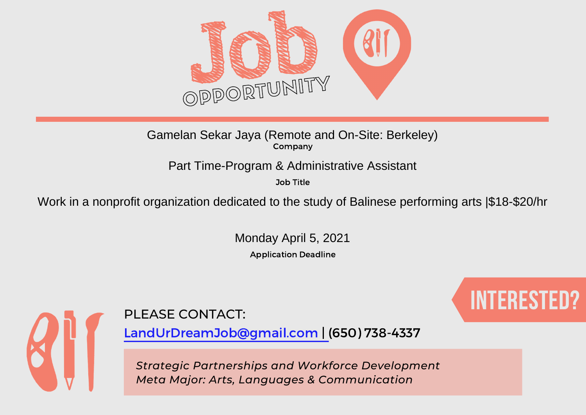

Company Gamelan Sekar Jaya (Remote and On-Site: Berkeley)

Part Time-Program & Administrative Assistant

Job Title

Work in a nonprofit organization dedicated to the study of Balinese performing arts |\$18-\$20/hr

Application Deadline Monday April 5, 2021



# PLEASE CONTACT: A RESERVE CONTACTION OF THE STREET OF THE RESERVE OF THE RESERVE OF THE RESERVE OF THE RESERVE

LandUrDreamJob@gmail.com | (650) 738-4337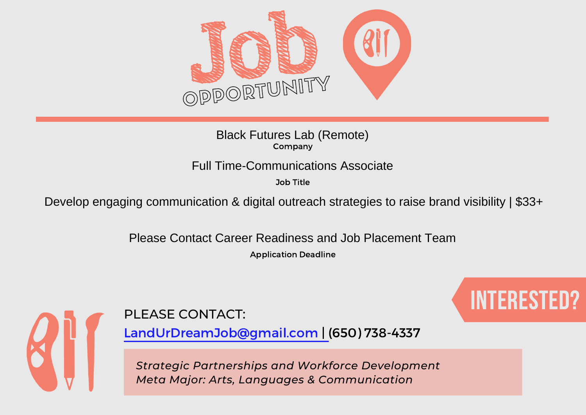

Company Black Futures Lab (Remote)

Job Title

Full Time-Communications Associate<br>
<sup>Job Title</sup><br>
Develop engaging communication & digital outreach strategies to raise brand visibility | \$33+<br>
Please Contact Career Readiness and Job Placement Team

Application Deadline



PLEASE CONTACT: A RESERVE CONTACTION OF THE STREET OF THE RESERVE OF THE RESERVE OF THE RESERVE OF THE RESERVE

LandUrDreamJob@gmail.com | (650) 738-4337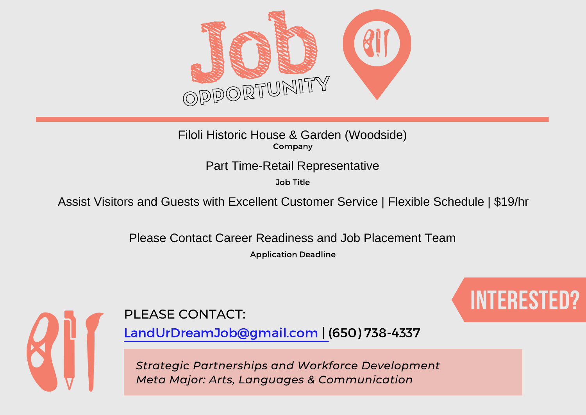

Company Filoli Historic House & Garden (Woodside)

Job Title

Part Time-Retail Representative<br>
Job Title<br>
Assist Visitors and Guests with Excellent Customer Service | Flexible Schedule | \$19/hr<br>
Please Contact Career Readiness and Job Placement Team

Application Deadline



PLEASE CONTACT: A RESERVE CONTACTION OF THE STREET OF THE RESERVE OF THE RESERVE OF THE RESERVE OF THE RESERVE

LandUrDreamJob@gmail.com | (650) 738-4337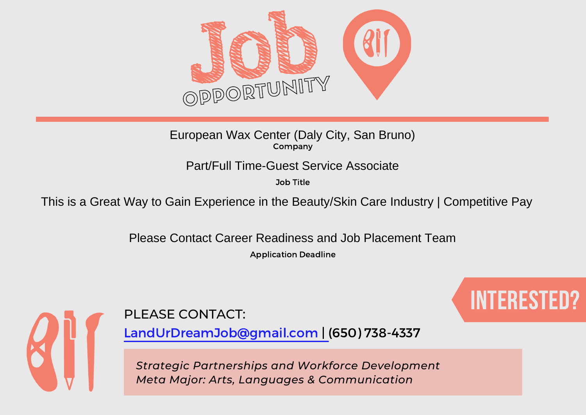

Company European Wax Center (Daly City, San Bruno)

Job Title

Part/Full Time-Guest Service Associate<br>
Job Title<br>
This is a Great Way to Gain Experience in the Beauty/Skin Care Industry | Competitive Pay<br>
Please Contact Career Readiness and Job Placement Team

Application Deadline



PLEASE CONTACT: A RESERVE CONTACTION OF THE STREET OF THE RESERVE OF THE RESERVE OF THE RESERVE OF THE RESERVE

LandUrDreamJob@gmail.com | (650) 738-4337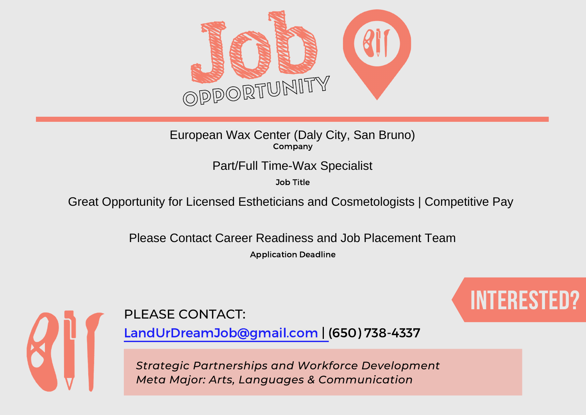

## Company European Wax Center (Daly City, San Bruno)

Job Title

Part/Full Time-Wax Specialist<br>
Job Title<br>
Great Opportunity for Licensed Estheticians and Cosmetologists | Competitive Pay<br>
Please Contact Career Readiness and Job Placement Team

Application Deadline



PLEASE CONTACT: A RESERVE CONTACTION OF THE STREET OF THE RESERVE OF THE RESERVE OF THE RESERVE OF THE RESERVE

LandUrDreamJob@gmail.com | (650) 738-4337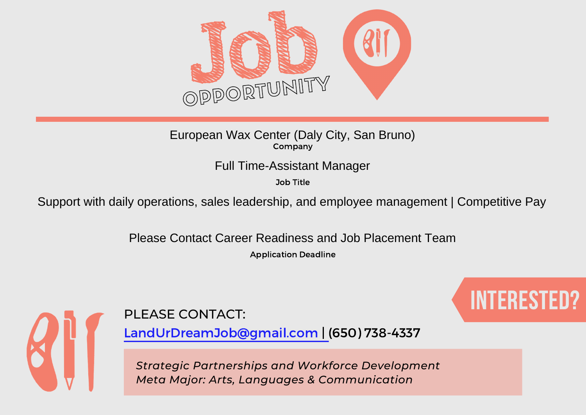

## Company European Wax Center (Daly City, San Bruno)

## Full Time-Assistant Manager

Job Title

Support with daily operations, sales leadership, and employee management | Competitive Pay

Please Contact Career Readiness and Job Placement Team

Application Deadline





LandUrDreamJob@gmail.com | (650) 738-4337